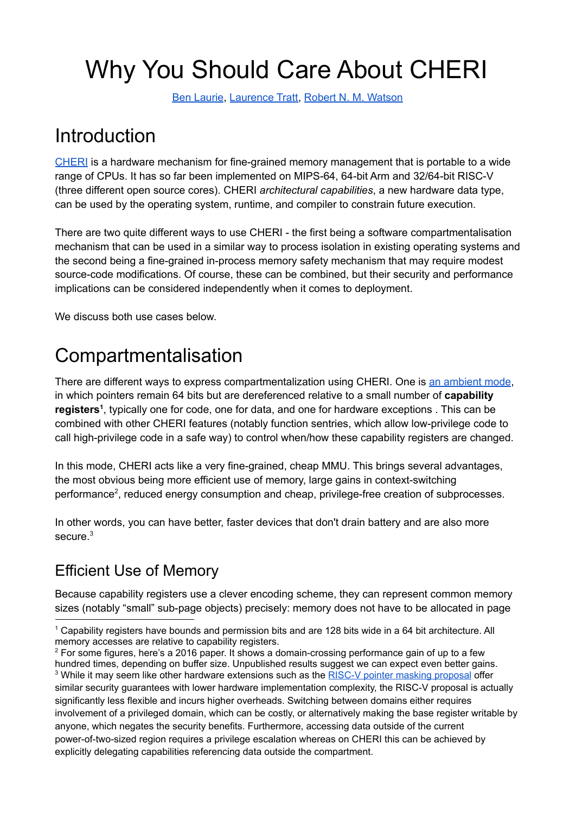# Why You Should Care About CHERI

Ben [Laurie](mailto:benl@google.com), [Laurence](https://tratt.net/laurie/) Tratt, Robert N. M. [Watson](https://www.cl.cam.ac.uk/~rnw24/)

### Introduction

[CHERI](https://www.cl.cam.ac.uk/research/security/ctsrd/cheri/) is a hardware mechanism for fine-grained memory management that is portable to a wide range of CPUs. It has so far been implemented on MIPS-64, 64-bit Arm and 32/64-bit RISC-V (three different open source cores). CHERI *architectural capabilities*, a new hardware data type, can be used by the operating system, runtime, and compiler to constrain future execution.

There are two quite different ways to use CHERI - the first being a software compartmentalisation mechanism that can be used in a similar way to process isolation in existing operating systems and the second being a fine-grained in-process memory safety mechanism that may require modest source-code modifications. Of course, these can be combined, but their security and performance implications can be considered independently when it comes to deployment.

We discuss both use cases below.

### Compartmentalisation

There are different ways to express compartmentalization using CHERI. One is an [ambient](https://www.cl.cam.ac.uk/research/security/ctsrd/pdfs/201505-oakland2015-cheri-compartmentalization.pdf) mode, in which pointers remain 64 bits but are dereferenced relative to a small number of **capability** registers<sup>1</sup>, typically one for code, one for data, and one for hardware exceptions. This can be combined with other CHERI features (notably function sentries, which allow low-privilege code to call high-privilege code in a safe way) to control when/how these capability registers are changed.

In this mode, CHERI acts like a very fine-grained, cheap MMU. This brings several advantages, the most obvious being more efficient use of memory, large gains in context-switching performance<sup>2</sup>, reduced energy consumption and cheap, privilege-free creation of subprocesses.

In other words, you can have better, faster devices that don't drain battery and are also more secure. 3

### Efficient Use of Memory

Because capability registers use a clever encoding scheme, they can represent common memory sizes (notably "small" sub-page objects) precisely: memory does not have to be allocated in page

<sup>1</sup> Capability registers have bounds and permission bits and are 128 bits wide in a 64 bit architecture. All memory accesses are relative to capability registers.

<sup>&</sup>lt;sup>3</sup> While it may seem like other hardware extensions such as the RISC-V pointer masking [proposal](https://github.com/riscv/riscv-j-extension/blob/master/pointer-masking-proposal.adoc) offer similar security guarantees with lower hardware implementation complexity, the RISC-V proposal is actually significantly less flexible and incurs higher overheads. Switching between domains either requires involvement of a privileged domain, which can be costly, or alternatively making the base register writable by anyone, which negates the security benefits. Furthermore, accessing data outside of the current power-of-two-sized region requires a privilege escalation whereas on CHERI this can be achieved by explicitly delegating capabilities referencing data outside the compartment.  $2$  For some figures, here's a 2016 paper. It shows a domain-crossing performance gain of up to a few hundred times, depending on buffer size. Unpublished results suggest we can expect even better gains.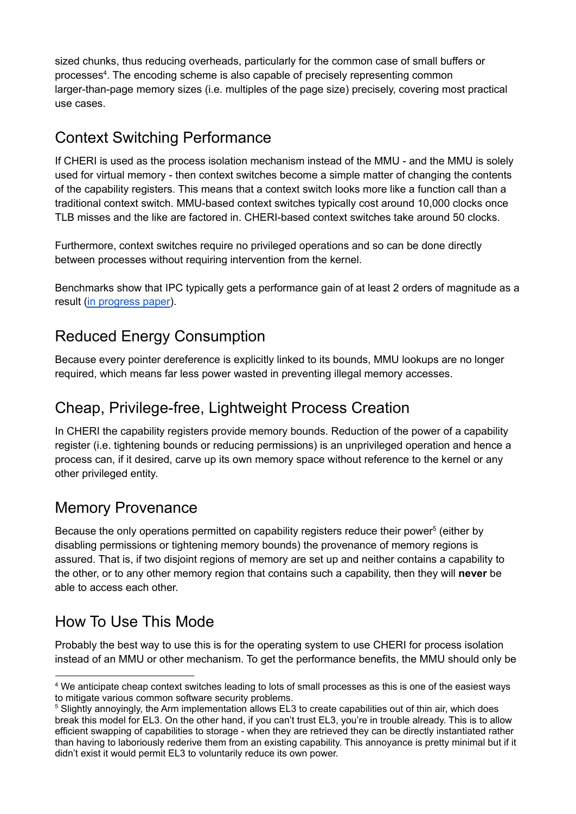sized chunks, thus reducing overheads, particularly for the common case of small buffers or processes 4 . The encoding scheme is also capable of precisely representing common larger-than-page memory sizes (i.e. multiples of the page size) precisely, covering most practical use cases.

#### Context Switching Performance

If CHERI is used as the process isolation mechanism instead of the MMU - and the MMU is solely used for virtual memory - then context switches become a simple matter of changing the contents of the capability registers. This means that a context switch looks more like a function call than a traditional context switch. MMU-based context switches typically cost around 10,000 clocks once TLB misses and the like are factored in. CHERI-based context switches take around 50 clocks.

Furthermore, context switches require no privileged operations and so can be done directly between processes without requiring intervention from the kernel.

Benchmarks show that IPC typically gets a performance gain of at least 2 orders of magnitude as a result (in [progress](https://drive.google.com/file/d/1cEdtPiWtUPuccUzN6_HLdflJkghuPTc1/view?usp=sharing) paper).

### Reduced Energy Consumption

Because every pointer dereference is explicitly linked to its bounds, MMU lookups are no longer required, which means far less power wasted in preventing illegal memory accesses.

#### Cheap, Privilege-free, Lightweight Process Creation

In CHERI the capability registers provide memory bounds. Reduction of the power of a capability register (i.e. tightening bounds or reducing permissions) is an unprivileged operation and hence a process can, if it desired, carve up its own memory space without reference to the kernel or any other privileged entity.

#### Memory Provenance

Because the only operations permitted on capability registers reduce their power<sup>5</sup> (either by disabling permissions or tightening memory bounds) the provenance of memory regions is assured. That is, if two disjoint regions of memory are set up and neither contains a capability to the other, or to any other memory region that contains such a capability, then they will **never** be able to access each other.

#### How To Use This Mode

Probably the best way to use this is for the operating system to use CHERI for process isolation instead of an MMU or other mechanism. To get the performance benefits, the MMU should only be

<sup>4</sup> We anticipate cheap context switches leading to lots of small processes as this is one of the easiest ways to mitigate various common software security problems.

<sup>&</sup>lt;sup>5</sup> Slightly annoyingly, the Arm implementation allows EL3 to create capabilities out of thin air. which does break this model for EL3. On the other hand, if you can't trust EL3, you're in trouble already. This is to allow efficient swapping of capabilities to storage - when they are retrieved they can be directly instantiated rather than having to laboriously rederive them from an existing capability. This annoyance is pretty minimal but if it didn't exist it would permit EL3 to voluntarily reduce its own power.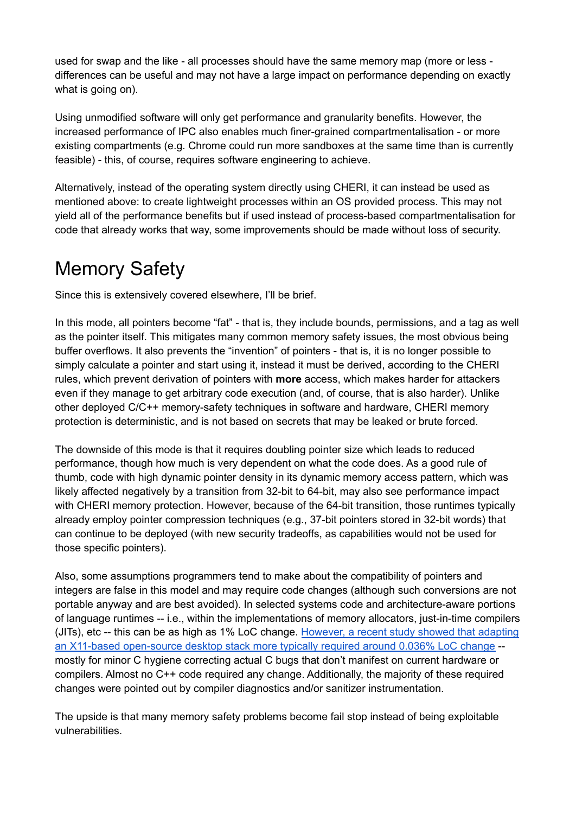used for swap and the like - all processes should have the same memory map (more or less differences can be useful and may not have a large impact on performance depending on exactly what is going on).

Using unmodified software will only get performance and granularity benefits. However, the increased performance of IPC also enables much finer-grained compartmentalisation - or more existing compartments (e.g. Chrome could run more sandboxes at the same time than is currently feasible) - this, of course, requires software engineering to achieve.

Alternatively, instead of the operating system directly using CHERI, it can instead be used as mentioned above: to create lightweight processes within an OS provided process. This may not yield all of the performance benefits but if used instead of process-based compartmentalisation for code that already works that way, some improvements should be made without loss of security.

### Memory Safety

Since this is extensively covered elsewhere, I'll be brief.

In this mode, all pointers become "fat" - that is, they include bounds, permissions, and a tag as well as the pointer itself. This mitigates many common memory safety issues, the most obvious being buffer overflows. It also prevents the "invention" of pointers - that is, it is no longer possible to simply calculate a pointer and start using it, instead it must be derived, according to the CHERI rules, which prevent derivation of pointers with **more** access, which makes harder for attackers even if they manage to get arbitrary code execution (and, of course, that is also harder). Unlike other deployed C/C++ memory-safety techniques in software and hardware, CHERI memory protection is deterministic, and is not based on secrets that may be leaked or brute forced.

The downside of this mode is that it requires doubling pointer size which leads to reduced performance, though how much is very dependent on what the code does. As a good rule of thumb, code with high dynamic pointer density in its dynamic memory access pattern, which was likely affected negatively by a transition from 32-bit to 64-bit, may also see performance impact with CHERI memory protection. However, because of the 64-bit transition, those runtimes typically already employ pointer compression techniques (e.g., 37-bit pointers stored in 32-bit words) that can continue to be deployed (with new security tradeoffs, as capabilities would not be used for those specific pointers).

Also, some assumptions programmers tend to make about the compatibility of pointers and integers are false in this model and may require code changes (although such conversions are not portable anyway and are best avoided). In selected systems code and architecture-aware portions of language runtimes -- i.e., within the implementations of memory allocators, just-in-time compilers (JITs), etc -- this can be as high as 1% LoC change. [However,](https://capabilities-limited.github.io/pdfs/20210917-capltd-cheri-desktop-report-version1-FINAL.pdf) a recent study showed that adapting an X11-based [open-source](https://capabilities-limited.github.io/pdfs/20210917-capltd-cheri-desktop-report-version1-FINAL.pdf) desktop stack more typically required around 0.036% LoC change - mostly for minor C hygiene correcting actual C bugs that don't manifest on current hardware or compilers. Almost no C++ code required any change. Additionally, the majority of these required changes were pointed out by compiler diagnostics and/or sanitizer instrumentation.

The upside is that many memory safety problems become fail stop instead of being exploitable vulnerabilities.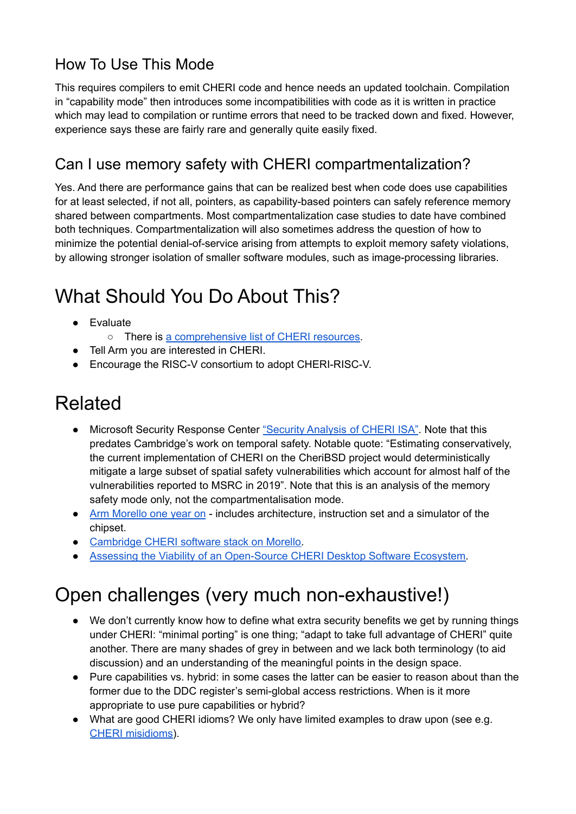### How To Use This Mode

This requires compilers to emit CHERI code and hence needs an updated toolchain. Compilation in "capability mode" then introduces some incompatibilities with code as it is written in practice which may lead to compilation or runtime errors that need to be tracked down and fixed. However, experience says these are fairly rare and generally quite easily fixed.

#### Can I use memory safety with CHERI compartmentalization?

Yes. And there are performance gains that can be realized best when code does use capabilities for at least selected, if not all, pointers, as capability-based pointers can safely reference memory shared between compartments. Most compartmentalization case studies to date have combined both techniques. Compartmentalization will also sometimes address the question of how to minimize the potential denial-of-service arising from attempts to exploit memory safety violations, by allowing stronger isolation of smaller software modules, such as image-processing libraries.

# What Should You Do About This?

- Evaluate
	- There is a [comprehensive](https://www.links.org/files/CHERI%20projects%20overview.pdf) list of CHERI resources.
- Tell Arm you are interested in CHERI.
- Encourage the RISC-V consortium to adopt CHERI-RISC-V.

# Related

- Microsoft Security Response Center ["Security](https://github.com/microsoft/MSRC-Security-Research/blob/master/papers/2020/Security%20analysis%20of%20CHERI%20ISA.pdf) Analysis of CHERI ISA". Note that this predates Cambridge's work on temporal safety. Notable quote: "Estimating conservatively, the current implementation of CHERI on the CheriBSD project would deterministically mitigate a large subset of spatial safety vulnerabilities which account for almost half of the vulnerabilities reported to MSRC in 2019". Note that this is an analysis of the memory safety mode only, not the compartmentalisation mode.
- Arm [Morello](https://www.arm.com/company/news/2020/10/morello-program-one-year-on) one year on includes architecture, instruction set and a simulator of the chipset.
- [Cambridge](https://www.cl.cam.ac.uk/research/security/ctsrd/cheri/cheri-morello-software.html) CHERI software stack on Morello.
- Assessing the Viability of an [Open-Source](https://capabilities-limited.github.io/pdfs/20210917-capltd-cheri-desktop-report-version1-FINAL.pdf) CHERI Desktop Software Ecosystem.

# Open challenges (very much non-exhaustive!)

- We don't currently know how to define what extra security benefits we get by running things under CHERI: "minimal porting" is one thing; "adapt to take full advantage of CHERI" quite another. There are many shades of grey in between and we lack both terminology (to aid discussion) and an understanding of the meaningful points in the design space.
- Pure capabilities vs. hybrid: in some cases the latter can be easier to reason about than the former due to the DDC register's semi-global access restrictions. When is it more appropriate to use pure capabilities or hybrid?
- What are good CHERI idioms? We only have limited examples to draw upon (see e.g. CHERI [misidioms\)](https://github.com/capablevms/cheri_misidioms).